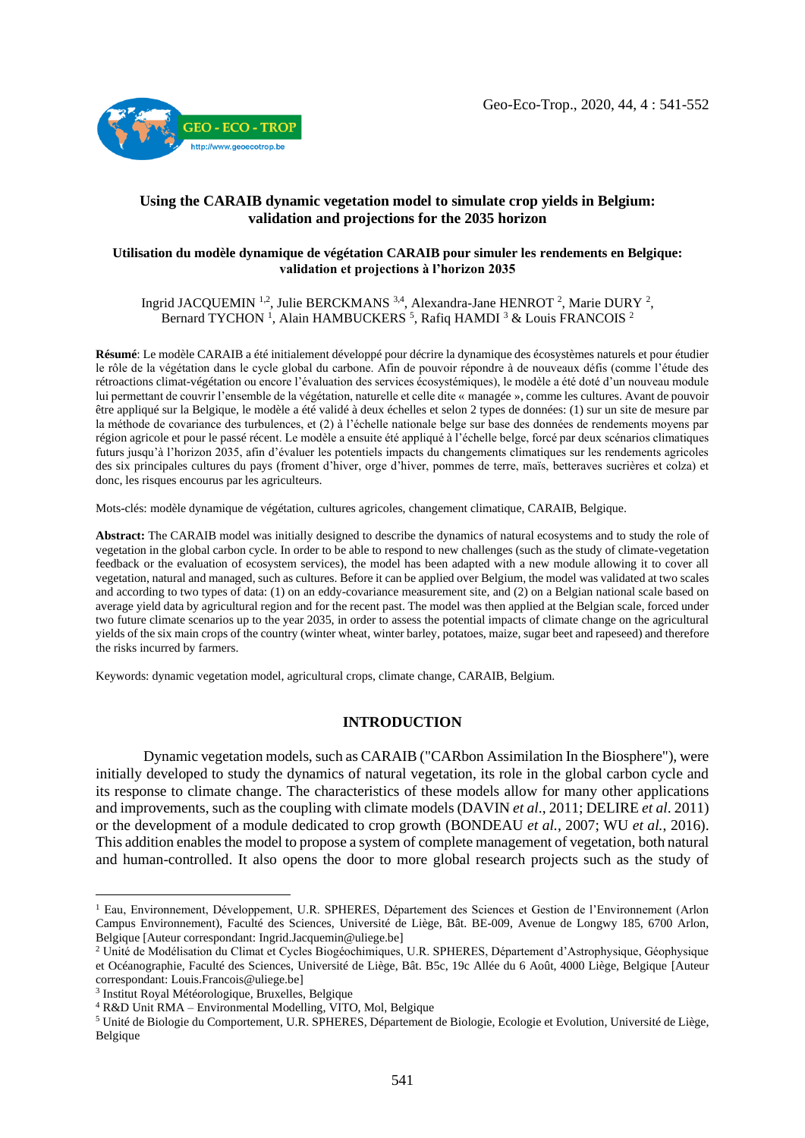

# **Using the CARAIB dynamic vegetation model to simulate crop yields in Belgium: validation and projections for the 2035 horizon**

### **Utilisation du modèle dynamique de végétation CARAIB pour simuler les rendements en Belgique: validation et projections à l'horizon 2035**

Ingrid JACQUEMIN<sup>1,2</sup>, Julie BERCKMANS<sup>3,4</sup>, Alexandra-Jane HENROT<sup>2</sup>, Marie DURY<sup>2</sup>, Bernard TYCHON<sup>1</sup>, Alain HAMBUCKERS<sup>5</sup>, Rafiq HAMDI<sup>3</sup> & Louis FRANCOIS<sup>2</sup>

**Résumé**: Le modèle CARAIB a été initialement développé pour décrire la dynamique des écosystèmes naturels et pour étudier le rôle de la végétation dans le cycle global du carbone. Afin de pouvoir répondre à de nouveaux défis (comme l'étude des rétroactions climat-végétation ou encore l'évaluation des services écosystémiques), le modèle a été doté d'un nouveau module lui permettant de couvrir l'ensemble de la végétation, naturelle et celle dite « managée », comme les cultures. Avant de pouvoir être appliqué sur la Belgique, le modèle a été validé à deux échelles et selon 2 types de données: (1) sur un site de mesure par la méthode de covariance des turbulences, et (2) à l'échelle nationale belge sur base des données de rendements moyens par région agricole et pour le passé récent. Le modèle a ensuite été appliqué à l'échelle belge, forcé par deux scénarios climatiques futurs jusqu'à l'horizon 2035, afin d'évaluer les potentiels impacts du changements climatiques sur les rendements agricoles des six principales cultures du pays (froment d'hiver, orge d'hiver, pommes de terre, maïs, betteraves sucrières et colza) et donc, les risques encourus par les agriculteurs.

Mots-clés: modèle dynamique de végétation, cultures agricoles, changement climatique, CARAIB, Belgique.

**Abstract:** The CARAIB model was initially designed to describe the dynamics of natural ecosystems and to study the role of vegetation in the global carbon cycle. In order to be able to respond to new challenges (such as the study of climate-vegetation feedback or the evaluation of ecosystem services), the model has been adapted with a new module allowing it to cover all vegetation, natural and managed, such as cultures. Before it can be applied over Belgium, the model was validated at two scales and according to two types of data: (1) on an eddy-covariance measurement site, and (2) on a Belgian national scale based on average yield data by agricultural region and for the recent past. The model was then applied at the Belgian scale, forced under two future climate scenarios up to the year 2035, in order to assess the potential impacts of climate change on the agricultural yields of the six main crops of the country (winter wheat, winter barley, potatoes, maize, sugar beet and rapeseed) and therefore the risks incurred by farmers.

Keywords: dynamic vegetation model, agricultural crops, climate change, CARAIB, Belgium.

# **INTRODUCTION**

Dynamic vegetation models, such as CARAIB ("CARbon Assimilation In the Biosphere"), were initially developed to study the dynamics of natural vegetation, its role in the global carbon cycle and its response to climate change. The characteristics of these models allow for many other applications and improvements, such as the coupling with climate models (DAVIN *et al*., 2011; DELIRE *et al*. 2011) or the development of a module dedicated to crop growth (BONDEAU *et al.*, 2007; WU *et al.*, 2016). This addition enables the model to propose a system of complete management of vegetation, both natural and human-controlled. It also opens the door to more global research projects such as the study of

<sup>1</sup> Eau, Environnement, Développement, U.R. SPHERES, Département des Sciences et Gestion de l'Environnement (Arlon Campus Environnement), Faculté des Sciences, Université de Liège, Bât. BE-009, Avenue de Longwy 185, 6700 Arlon, Belgique [Auteur correspondant: Ingrid.Jacquemin@uliege.be]

<sup>2</sup> Unité de Modélisation du Climat et Cycles Biogéochimiques, U.R. SPHERES, Département d'Astrophysique, Géophysique et Océanographie, Faculté des Sciences, Université de Liège, Bât. B5c, 19c Allée du 6 Août, 4000 Liège, Belgique [Auteur correspondant: Louis.Francois@uliege.be]

<sup>3</sup> Institut Royal Météorologique, Bruxelles, Belgique

<sup>4</sup> R&D Unit RMA – Environmental Modelling, VITO, Mol, Belgique

<sup>5</sup> Unité de Biologie du Comportement, U.R. SPHERES, Département de Biologie, Ecologie et Evolution, Université de Liège, Belgique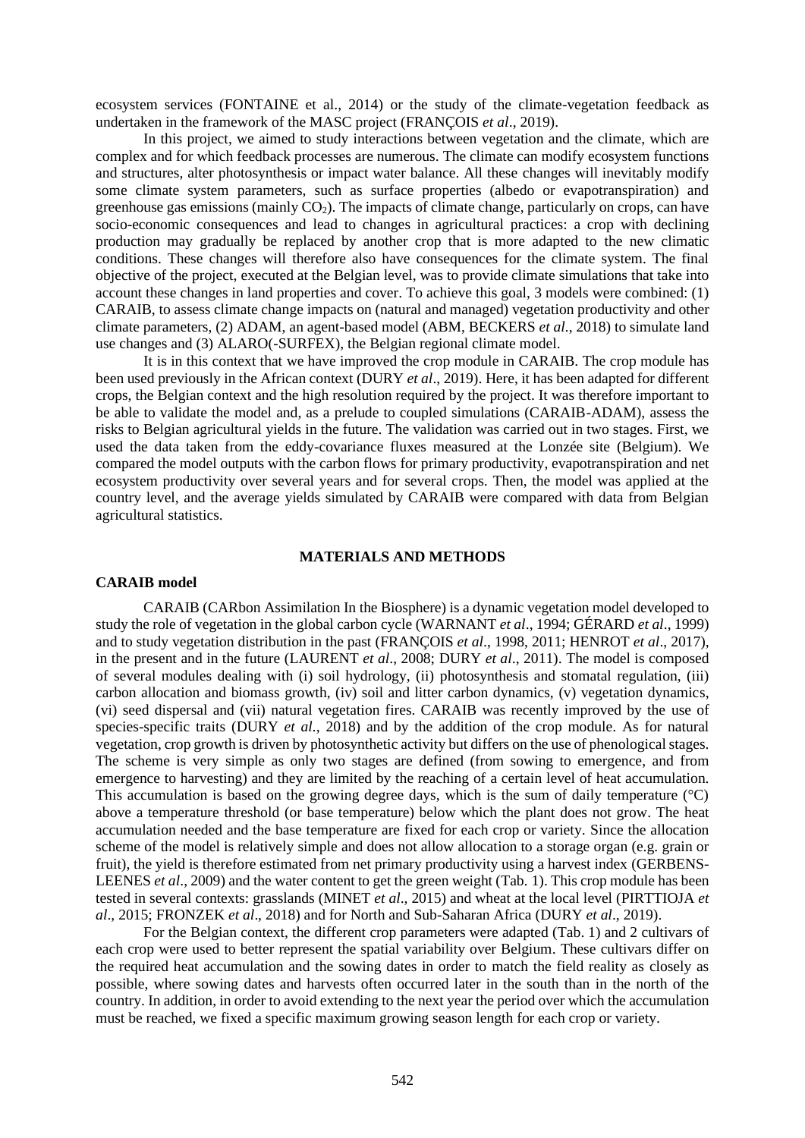ecosystem services (FONTAINE et al., 2014) or the study of the climate-vegetation feedback as undertaken in the framework of the MASC project (FRANÇOIS *et al*., 2019).

In this project, we aimed to study interactions between vegetation and the climate, which are complex and for which feedback processes are numerous. The climate can modify ecosystem functions and structures, alter photosynthesis or impact water balance. All these changes will inevitably modify some climate system parameters, such as surface properties (albedo or evapotranspiration) and greenhouse gas emissions (mainly  $CO<sub>2</sub>$ ). The impacts of climate change, particularly on crops, can have socio-economic consequences and lead to changes in agricultural practices: a crop with declining production may gradually be replaced by another crop that is more adapted to the new climatic conditions. These changes will therefore also have consequences for the climate system. The final objective of the project, executed at the Belgian level, was to provide climate simulations that take into account these changes in land properties and cover. To achieve this goal, 3 models were combined: (1) CARAIB, to assess climate change impacts on (natural and managed) vegetation productivity and other climate parameters, (2) ADAM, an agent-based model (ABM, BECKERS *et al.*, 2018) to simulate land use changes and (3) ALARO(-SURFEX), the Belgian regional climate model.

It is in this context that we have improved the crop module in CARAIB. The crop module has been used previously in the African context (DURY *et al*., 2019). Here, it has been adapted for different crops, the Belgian context and the high resolution required by the project. It was therefore important to be able to validate the model and, as a prelude to coupled simulations (CARAIB-ADAM), assess the risks to Belgian agricultural yields in the future. The validation was carried out in two stages. First, we used the data taken from the eddy-covariance fluxes measured at the Lonzée site (Belgium). We compared the model outputs with the carbon flows for primary productivity, evapotranspiration and net ecosystem productivity over several years and for several crops. Then, the model was applied at the country level, and the average yields simulated by CARAIB were compared with data from Belgian agricultural statistics.

### **MATERIALS AND METHODS**

### **CARAIB model**

CARAIB (CARbon Assimilation In the Biosphere) is a dynamic vegetation model developed to study the role of vegetation in the global carbon cycle (WARNANT *et al*., 1994; GÉRARD *et al*., 1999) and to study vegetation distribution in the past (FRANÇOIS *et al*., 1998, 2011; HENROT *et al*., 2017), in the present and in the future (LAURENT *et al*., 2008; DURY *et al*., 2011). The model is composed of several modules dealing with (i) soil hydrology, (ii) photosynthesis and stomatal regulation, (iii) carbon allocation and biomass growth, (iv) soil and litter carbon dynamics, (v) vegetation dynamics, (vi) seed dispersal and (vii) natural vegetation fires. CARAIB was recently improved by the use of species-specific traits (DURY *et al.,* 2018) and by the addition of the crop module. As for natural vegetation, crop growth is driven by photosynthetic activity but differs on the use of phenological stages. The scheme is very simple as only two stages are defined (from sowing to emergence, and from emergence to harvesting) and they are limited by the reaching of a certain level of heat accumulation. This accumulation is based on the growing degree days, which is the sum of daily temperature (°C) above a temperature threshold (or base temperature) below which the plant does not grow. The heat accumulation needed and the base temperature are fixed for each crop or variety. Since the allocation scheme of the model is relatively simple and does not allow allocation to a storage organ (e.g. grain or fruit), the yield is therefore estimated from net primary productivity using a harvest index (GERBENS-LEENES *et al*., 2009) and the water content to get the green weight (Tab. 1). This crop module has been tested in several contexts: grasslands (MINET *et al*., 2015) and wheat at the local level (PIRTTIOJA *et al*., 2015; FRONZEK *et al*., 2018) and for North and Sub-Saharan Africa (DURY *et al*., 2019).

For the Belgian context, the different crop parameters were adapted (Tab. 1) and 2 cultivars of each crop were used to better represent the spatial variability over Belgium. These cultivars differ on the required heat accumulation and the sowing dates in order to match the field reality as closely as possible, where sowing dates and harvests often occurred later in the south than in the north of the country. In addition, in order to avoid extending to the next year the period over which the accumulation must be reached, we fixed a specific maximum growing season length for each crop or variety.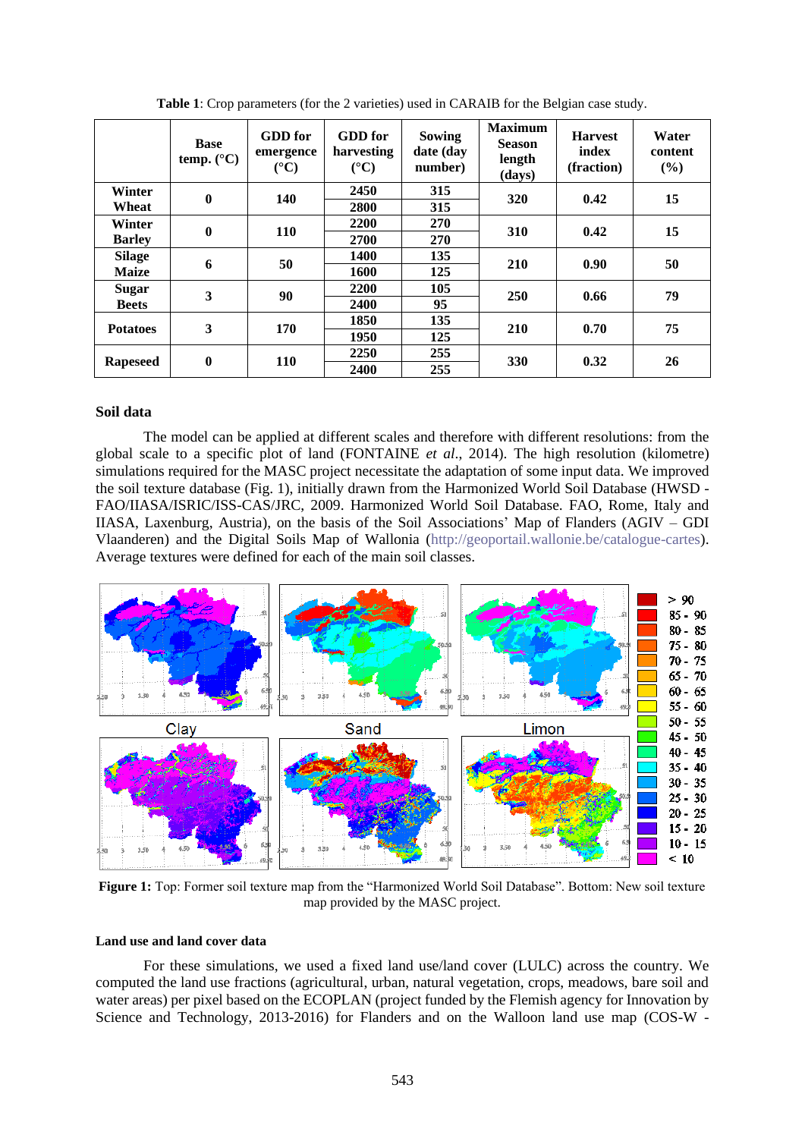|                 | <b>Base</b><br>temp. $(^{\circ}C)$ | <b>GDD</b> for<br>emergence<br>$({}^{\circ}C)$ | <b>GDD</b> for<br>harvesting<br>$({}^{\circ}{\rm C})$ | <b>Sowing</b><br>date (day<br>number) | <b>Maximum</b><br><b>Season</b><br>length<br>(days) | <b>Harvest</b><br>index<br>(fraction) | Water<br>content<br>(%) |  |
|-----------------|------------------------------------|------------------------------------------------|-------------------------------------------------------|---------------------------------------|-----------------------------------------------------|---------------------------------------|-------------------------|--|
| Winter          | $\bf{0}$                           | 140                                            | 2450                                                  | 315                                   | <b>320</b>                                          | 0.42                                  | 15                      |  |
| Wheat           |                                    |                                                | 2800                                                  | 315                                   |                                                     |                                       |                         |  |
| Winter          | $\mathbf 0$                        | <b>110</b>                                     | 2200                                                  | 270                                   | <b>310</b>                                          | 0.42                                  | 15                      |  |
| <b>Barley</b>   |                                    |                                                | 2700                                                  | <b>270</b>                            |                                                     |                                       |                         |  |
| <b>Silage</b>   | 6                                  | 50                                             | 1400                                                  | 135                                   | 210                                                 | 0.90                                  | 50                      |  |
| <b>Maize</b>    |                                    |                                                | 1600                                                  | 125                                   |                                                     |                                       |                         |  |
| <b>Sugar</b>    | 3                                  | 90                                             | 2200                                                  | 105                                   | 250                                                 | 0.66                                  | 79                      |  |
| <b>Beets</b>    |                                    |                                                | 2400                                                  | 95                                    |                                                     |                                       |                         |  |
| <b>Potatoes</b> | 3                                  | 170                                            | 1850                                                  | 135                                   | <b>210</b>                                          | 0.70                                  |                         |  |
|                 |                                    |                                                | 1950                                                  | 125                                   |                                                     |                                       | 75                      |  |
| <b>Rapeseed</b> | $\boldsymbol{0}$                   | 110                                            | 2250                                                  | 255                                   | <b>330</b>                                          |                                       |                         |  |
|                 |                                    |                                                | 2400                                                  | 255                                   |                                                     | 0.32                                  | 26                      |  |

**Table 1**: Crop parameters (for the 2 varieties) used in CARAIB for the Belgian case study.

## **Soil data**

The model can be applied at different scales and therefore with different resolutions: from the global scale to a specific plot of land (FONTAINE *et al*., 2014). The high resolution (kilometre) simulations required for the MASC project necessitate the adaptation of some input data. We improved the soil texture database (Fig. 1), initially drawn from the Harmonized World Soil Database (HWSD - FAO/IIASA/ISRIC/ISS-CAS/JRC, 2009. Harmonized World Soil Database. FAO, Rome, Italy and IIASA, Laxenburg, Austria), on the basis of the Soil Associations' Map of Flanders (AGIV – GDI Vlaanderen) and the Digital Soils Map of Wallonia [\(http://geoportail.wallonie.be/catalogue-cartes\)](http://geoportail.wallonie.be/catalogue-cartes). Average textures were defined for each of the main soil classes.



**Figure 1:** Top: Former soil texture map from the "Harmonized World Soil Database". Bottom: New soil texture map provided by the MASC project.

#### **Land use and land cover data**

For these simulations, we used a fixed land use/land cover (LULC) across the country. We computed the land use fractions (agricultural, urban, natural vegetation, crops, meadows, bare soil and water areas) per pixel based on the ECOPLAN (project funded by the Flemish agency for Innovation by Science and Technology, 2013-2016) for Flanders and on the Walloon land use map (COS-W -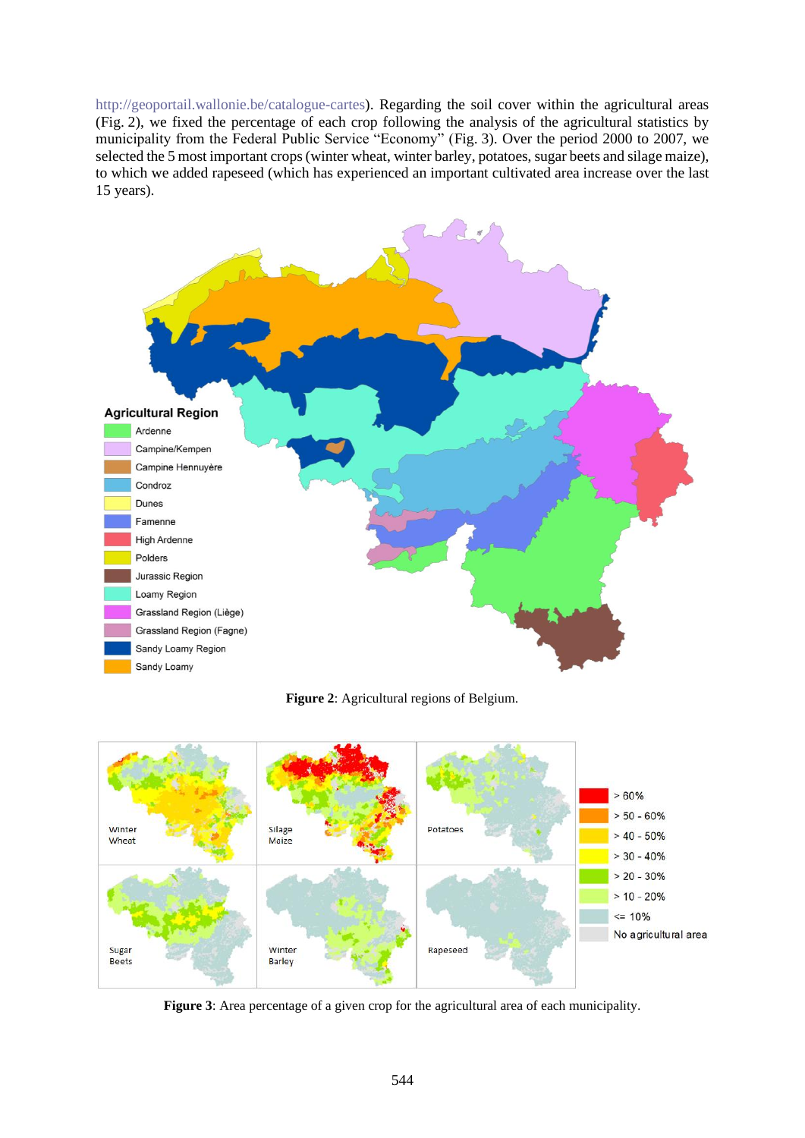[http://geoportail.wallonie.be/catalogue-cartes\)](http://geoportail.wallonie.be/catalogue-cartes). Regarding the soil cover within the agricultural areas (Fig. 2), we fixed the percentage of each crop following the analysis of the agricultural statistics by municipality from the Federal Public Service "Economy" (Fig. 3). Over the period 2000 to 2007, we selected the 5 most important crops (winter wheat, winter barley, potatoes, sugar beets and silage maize), to which we added rapeseed (which has experienced an important cultivated area increase over the last 15 years).



**Figure 2**: Agricultural regions of Belgium.



**Figure 3**: Area percentage of a given crop for the agricultural area of each municipality.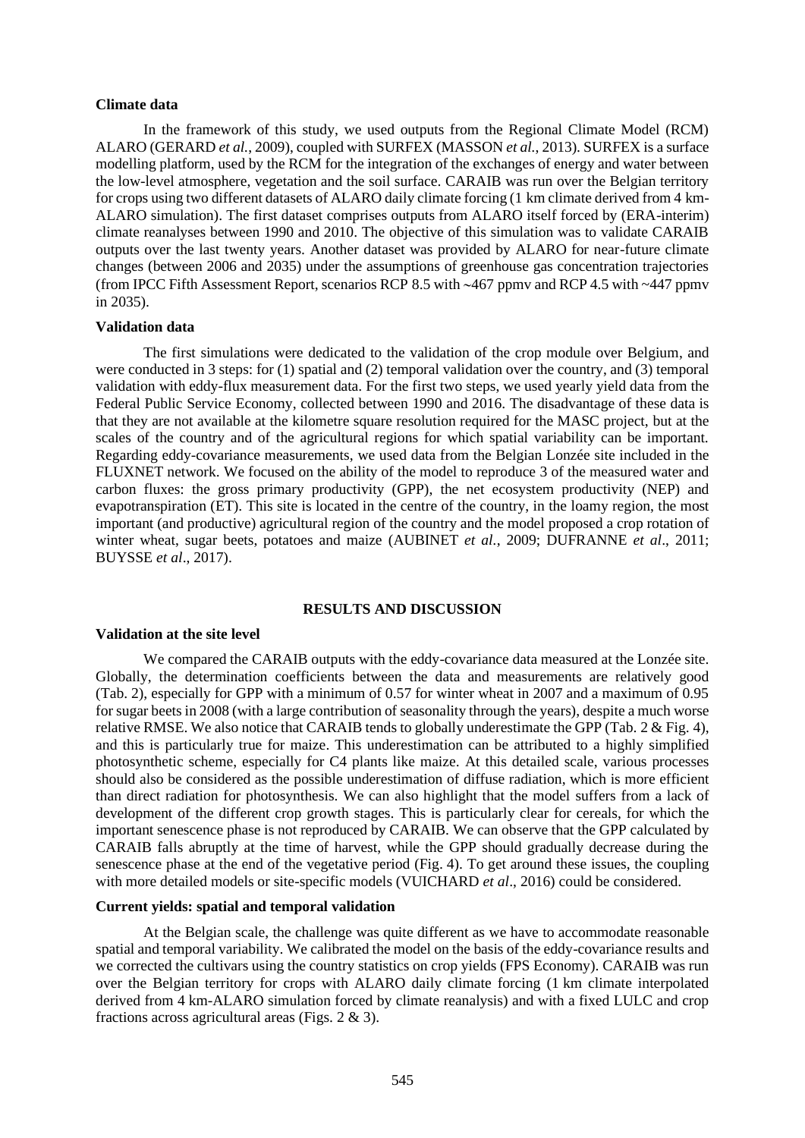# **Climate data**

In the framework of this study, we used outputs from the Regional Climate Model (RCM) ALARO (GERARD *et al.*, 2009), coupled with SURFEX (MASSON *et al.*, 2013). SURFEX is a surface modelling platform, used by the RCM for the integration of the exchanges of energy and water between the low-level atmosphere, vegetation and the soil surface. CARAIB was run over the Belgian territory for crops using two different datasets of ALARO daily climate forcing (1 km climate derived from 4 km-ALARO simulation). The first dataset comprises outputs from ALARO itself forced by (ERA-interim) climate reanalyses between 1990 and 2010. The objective of this simulation was to validate CARAIB outputs over the last twenty years. Another dataset was provided by ALARO for near-future climate changes (between 2006 and 2035) under the assumptions of greenhouse gas concentration trajectories (from IPCC Fifth Assessment Report, scenarios RCP 8.5 with  $\sim$ 467 ppmv and RCP 4.5 with  $\sim$ 447 ppmv in 2035).

# **Validation data**

The first simulations were dedicated to the validation of the crop module over Belgium, and were conducted in 3 steps: for (1) spatial and (2) temporal validation over the country, and (3) temporal validation with eddy-flux measurement data. For the first two steps, we used yearly yield data from the Federal Public Service Economy, collected between 1990 and 2016. The disadvantage of these data is that they are not available at the kilometre square resolution required for the MASC project, but at the scales of the country and of the agricultural regions for which spatial variability can be important. Regarding eddy-covariance measurements, we used data from the Belgian Lonzée site included in the FLUXNET network. We focused on the ability of the model to reproduce 3 of the measured water and carbon fluxes: the gross primary productivity (GPP), the net ecosystem productivity (NEP) and evapotranspiration (ET). This site is located in the centre of the country, in the loamy region, the most important (and productive) agricultural region of the country and the model proposed a crop rotation of winter wheat, sugar beets, potatoes and maize (AUBINET *et al.*, 2009; DUFRANNE *et al*., 2011; BUYSSE *et al*., 2017).

## **RESULTS AND DISCUSSION**

#### **Validation at the site level**

We compared the CARAIB outputs with the eddy-covariance data measured at the Lonzée site. Globally, the determination coefficients between the data and measurements are relatively good (Tab. 2), especially for GPP with a minimum of 0.57 for winter wheat in 2007 and a maximum of 0.95 for sugar beets in 2008 (with a large contribution of seasonality through the years), despite a much worse relative RMSE. We also notice that CARAIB tends to globally underestimate the GPP (Tab. 2 & Fig. 4), and this is particularly true for maize. This underestimation can be attributed to a highly simplified photosynthetic scheme, especially for C4 plants like maize. At this detailed scale, various processes should also be considered as the possible underestimation of diffuse radiation, which is more efficient than direct radiation for photosynthesis. We can also highlight that the model suffers from a lack of development of the different crop growth stages. This is particularly clear for cereals, for which the important senescence phase is not reproduced by CARAIB. We can observe that the GPP calculated by CARAIB falls abruptly at the time of harvest, while the GPP should gradually decrease during the senescence phase at the end of the vegetative period (Fig. 4). To get around these issues, the coupling with more detailed models or site-specific models (VUICHARD *et al*., 2016) could be considered.

#### **Current yields: spatial and temporal validation**

At the Belgian scale, the challenge was quite different as we have to accommodate reasonable spatial and temporal variability. We calibrated the model on the basis of the eddy-covariance results and we corrected the cultivars using the country statistics on crop yields (FPS Economy). CARAIB was run over the Belgian territory for crops with ALARO daily climate forcing (1 km climate interpolated derived from 4 km-ALARO simulation forced by climate reanalysis) and with a fixed LULC and crop fractions across agricultural areas (Figs. 2 & 3).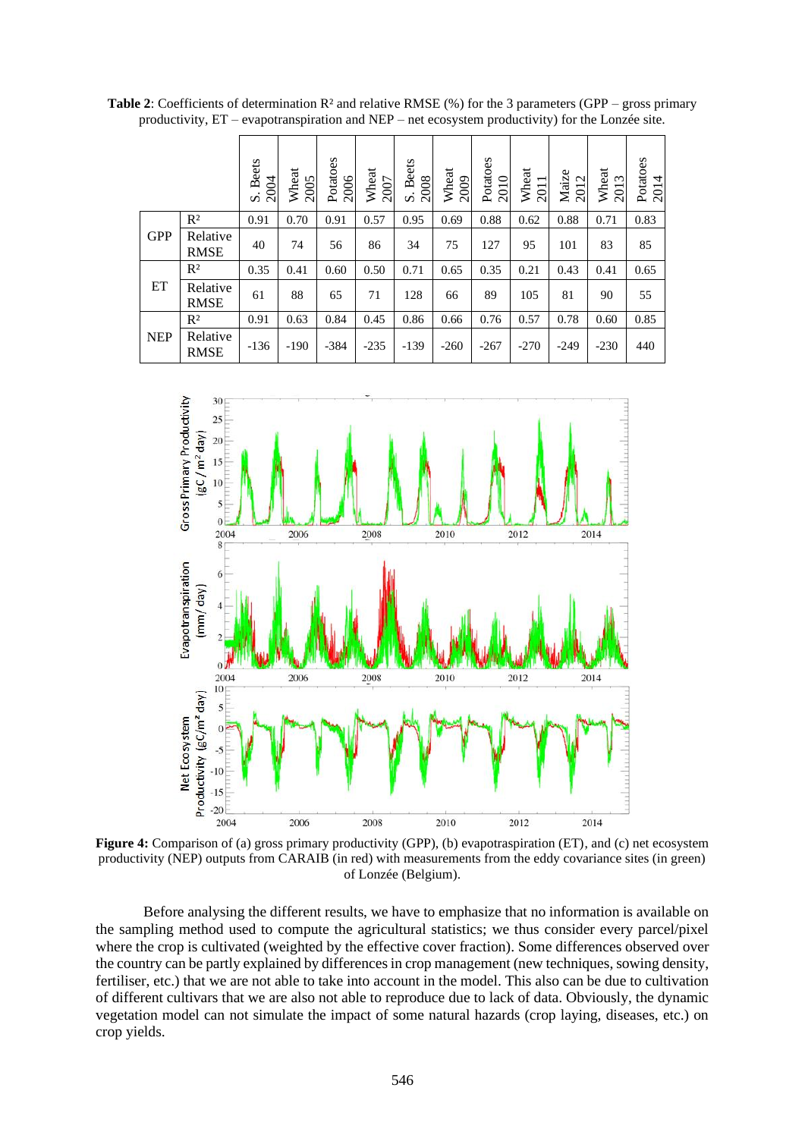|            |                         | Beets<br>2004<br>si | Wheat<br>2005 | Potatoes<br>2006 | Wheat<br>2007 | S. Beets<br>2008 | Wheat<br>2009 | Potatoes<br>2010 | Wheat<br>2011 | Maize<br>2012 | Wheat<br>2013 | Potatoes<br>2014 |
|------------|-------------------------|---------------------|---------------|------------------|---------------|------------------|---------------|------------------|---------------|---------------|---------------|------------------|
|            | R <sup>2</sup>          | 0.91                | 0.70          | 0.91             | 0.57          | 0.95             | 0.69          | 0.88             | 0.62          | 0.88          | 0.71          | 0.83             |
| <b>GPP</b> | Relative<br><b>RMSE</b> | 40                  | 74            | 56               | 86            | 34               | 75            | 127              | 95            | 101           | 83            | 85               |
| ET         | $R^2$                   | 0.35                | 0.41          | 0.60             | 0.50          | 0.71             | 0.65          | 0.35             | 0.21          | 0.43          | 0.41          | 0.65             |
|            | Relative<br><b>RMSE</b> | 61                  | 88            | 65               | 71            | 128              | 66            | 89               | 105           | 81            | 90            | 55               |
| <b>NEP</b> | $R^2$                   | 0.91                | 0.63          | 0.84             | 0.45          | 0.86             | 0.66          | 0.76             | 0.57          | 0.78          | 0.60          | 0.85             |
|            | Relative<br><b>RMSE</b> | $-136$              | $-190$        | $-384$           | $-235$        | $-139$           | $-260$        | $-267$           | $-270$        | $-249$        | $-230$        | 440              |

**Table 2**: Coefficients of determination R² and relative RMSE (%) for the 3 parameters (GPP – gross primary productivity, ET – evapotranspiration and NEP – net ecosystem productivity) for the Lonzée site.



**Figure 4:** Comparison of (a) gross primary productivity (GPP), (b) evapotraspiration (ET), and (c) net ecosystem productivity (NEP) outputs from CARAIB (in red) with measurements from the eddy covariance sites (in green) of Lonzée (Belgium).

Before analysing the different results, we have to emphasize that no information is available on the sampling method used to compute the agricultural statistics; we thus consider every parcel/pixel where the crop is cultivated (weighted by the effective cover fraction). Some differences observed over the country can be partly explained by differences in crop management (new techniques, sowing density, fertiliser, etc.) that we are not able to take into account in the model. This also can be due to cultivation of different cultivars that we are also not able to reproduce due to lack of data. Obviously, the dynamic vegetation model can not simulate the impact of some natural hazards (crop laying, diseases, etc.) on crop yields.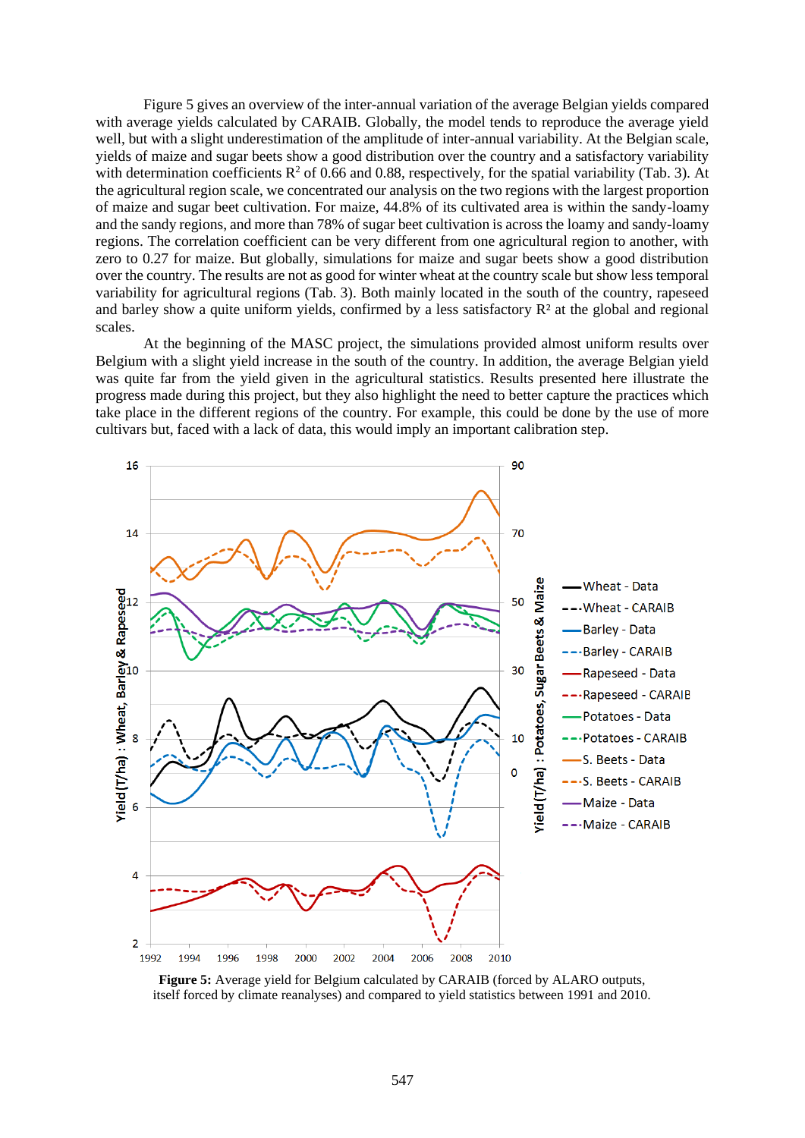Figure 5 gives an overview of the inter-annual variation of the average Belgian yields compared with average yields calculated by CARAIB. Globally, the model tends to reproduce the average yield well, but with a slight underestimation of the amplitude of inter-annual variability. At the Belgian scale, yields of maize and sugar beets show a good distribution over the country and a satisfactory variability with determination coefficients  $R^2$  of 0.66 and 0.88, respectively, for the spatial variability (Tab. 3). At the agricultural region scale, we concentrated our analysis on the two regions with the largest proportion of maize and sugar beet cultivation. For maize, 44.8% of its cultivated area is within the sandy-loamy and the sandy regions, and more than 78% of sugar beet cultivation is across the loamy and sandy-loamy regions. The correlation coefficient can be very different from one agricultural region to another, with zero to 0.27 for maize. But globally, simulations for maize and sugar beets show a good distribution over the country. The results are not as good for winter wheat at the country scale but show less temporal variability for agricultural regions (Tab. 3). Both mainly located in the south of the country, rapeseed and barley show a quite uniform yields, confirmed by a less satisfactory R² at the global and regional scales.

At the beginning of the MASC project, the simulations provided almost uniform results over Belgium with a slight yield increase in the south of the country. In addition, the average Belgian yield was quite far from the yield given in the agricultural statistics. Results presented here illustrate the progress made during this project, but they also highlight the need to better capture the practices which take place in the different regions of the country. For example, this could be done by the use of more cultivars but, faced with a lack of data, this would imply an important calibration step.



**Figure 5:** Average yield for Belgium calculated by CARAIB (forced by ALARO outputs, itself forced by climate reanalyses) and compared to yield statistics between 1991 and 2010.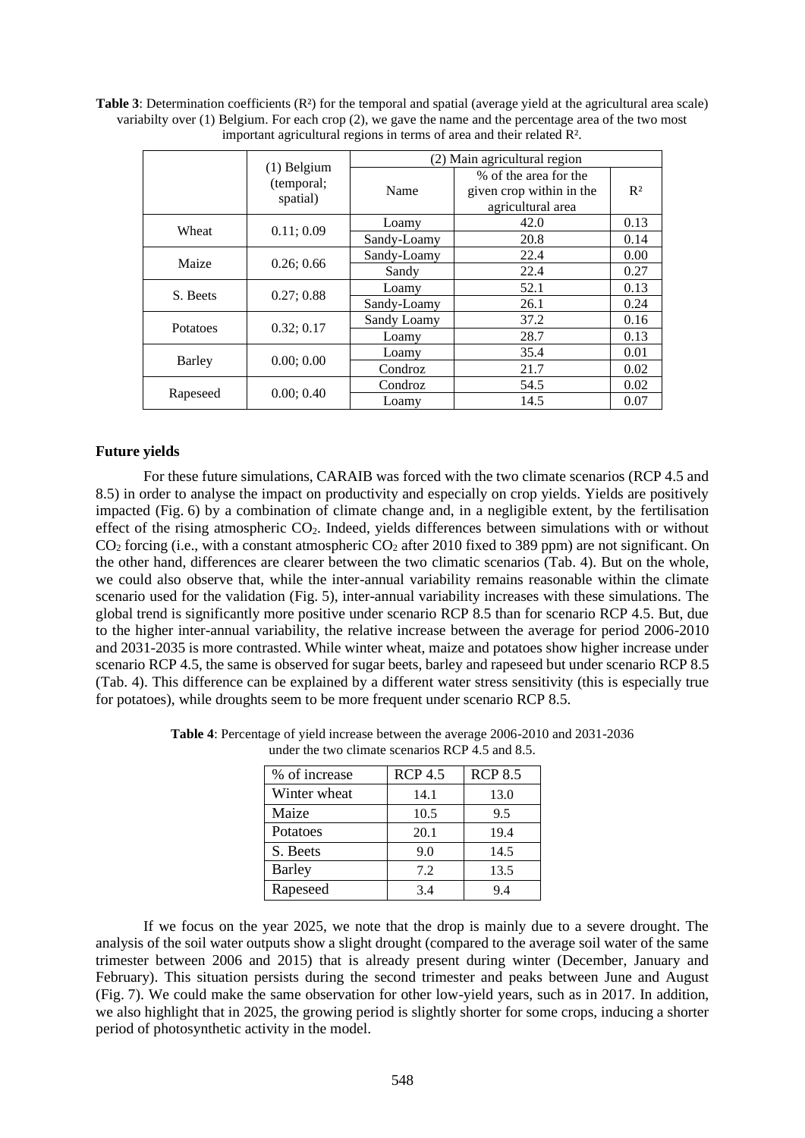**Table 3**: Determination coefficients (R<sup>2</sup>) for the temporal and spatial (average yield at the agricultural area scale) variabilty over (1) Belgium. For each crop (2), we gave the name and the percentage area of the two most important agricultural regions in terms of area and their related R².

|               |                             | (2) Main agricultural region |                          |                |  |  |
|---------------|-----------------------------|------------------------------|--------------------------|----------------|--|--|
|               | $(1)$ Belgium<br>(temporal; |                              | % of the area for the    |                |  |  |
|               | spatial)                    | Name                         | given crop within in the | R <sup>2</sup> |  |  |
|               |                             |                              | agricultural area        |                |  |  |
| Wheat         | 0.11; 0.09                  | Loamy                        | 42.0                     | 0.13           |  |  |
|               |                             | Sandy-Loamy                  | 20.8                     | 0.14           |  |  |
| Maize         | 0.26; 0.66                  | Sandy-Loamy                  | 22.4                     | 0.00           |  |  |
|               |                             | Sandy                        | 22.4                     | 0.27           |  |  |
| S. Beets      |                             | Loamy                        | 52.1                     | 0.13           |  |  |
|               | 0.27; 0.88                  | Sandy-Loamy                  | 26.1                     | 0.24           |  |  |
| Potatoes      | 0.32:0.17                   | Sandy Loamy                  | 37.2                     | 0.16           |  |  |
|               |                             | Loamy                        | 28.7                     | 0.13           |  |  |
| <b>Barley</b> |                             | Loamy                        | 35.4                     | 0.01           |  |  |
|               | 0.00; 0.00                  | Condroz                      | 21.7                     | 0.02           |  |  |
| Rapeseed      |                             | Condroz                      | 54.5                     | 0.02           |  |  |
|               | 0.00; 0.40                  | Loamy                        | 14.5                     | 0.07           |  |  |

# **Future yields**

For these future simulations, CARAIB was forced with the two climate scenarios (RCP 4.5 and 8.5) in order to analyse the impact on productivity and especially on crop yields. Yields are positively impacted (Fig. 6) by a combination of climate change and, in a negligible extent, by the fertilisation effect of the rising atmospheric  $CO<sub>2</sub>$ . Indeed, yields differences between simulations with or without  $CO<sub>2</sub>$  forcing (i.e., with a constant atmospheric  $CO<sub>2</sub>$  after 2010 fixed to 389 ppm) are not significant. On the other hand, differences are clearer between the two climatic scenarios (Tab. 4). But on the whole, we could also observe that, while the inter-annual variability remains reasonable within the climate scenario used for the validation (Fig. 5), inter-annual variability increases with these simulations. The global trend is significantly more positive under scenario RCP 8.5 than for scenario RCP 4.5. But, due to the higher inter-annual variability, the relative increase between the average for period 2006-2010 and 2031-2035 is more contrasted. While winter wheat, maize and potatoes show higher increase under scenario RCP 4.5, the same is observed for sugar beets, barley and rapeseed but under scenario RCP 8.5 (Tab. 4). This difference can be explained by a different water stress sensitivity (this is especially true for potatoes), while droughts seem to be more frequent under scenario RCP 8.5.

| % of increase | <b>RCP 4.5</b> | <b>RCP 8.5</b> |
|---------------|----------------|----------------|
| Winter wheat  | 14.1           | 13.0           |
| Maize         | 10.5           | 9.5            |
| Potatoes      | 20.1           | 19.4           |
| S. Beets      | 9.0            | 14.5           |
| <b>Barley</b> | 7.2            | 13.5           |
| Rapeseed      | 3.4            | 9.4            |

**Table 4**: Percentage of yield increase between the average 2006-2010 and 2031-2036 under the two climate scenarios RCP  $\overline{4.5}$  and  $\overline{8.5}$ .

If we focus on the year 2025, we note that the drop is mainly due to a severe drought. The analysis of the soil water outputs show a slight drought (compared to the average soil water of the same trimester between 2006 and 2015) that is already present during winter (December, January and February). This situation persists during the second trimester and peaks between June and August (Fig. 7). We could make the same observation for other low-yield years, such as in 2017. In addition, we also highlight that in 2025, the growing period is slightly shorter for some crops, inducing a shorter period of photosynthetic activity in the model.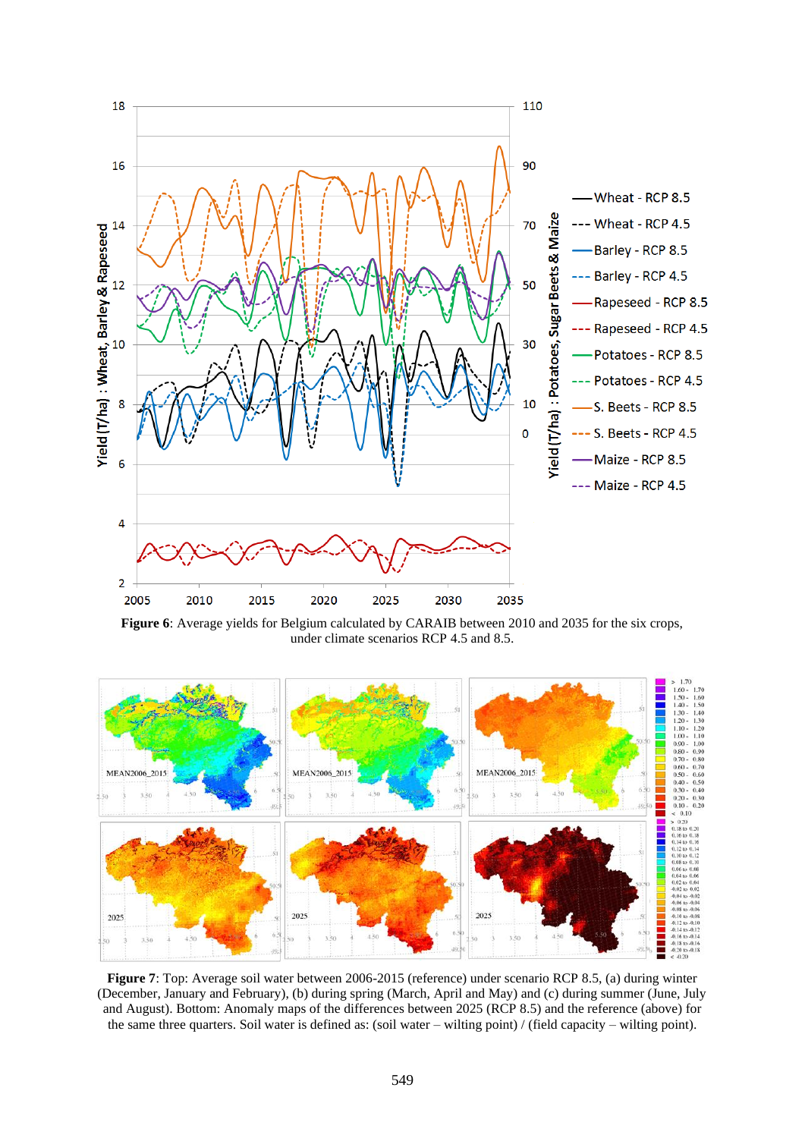

**Figure 6**: Average yields for Belgium calculated by CARAIB between 2010 and 2035 for the six crops, under climate scenarios RCP 4.5 and 8.5.



**Figure 7**: Top: Average soil water between 2006-2015 (reference) under scenario RCP 8.5, (a) during winter (December, January and February), (b) during spring (March, April and May) and (c) during summer (June, July and August). Bottom: Anomaly maps of the differences between 2025 (RCP 8.5) and the reference (above) for the same three quarters. Soil water is defined as: (soil water – wilting point) / (field capacity – wilting point).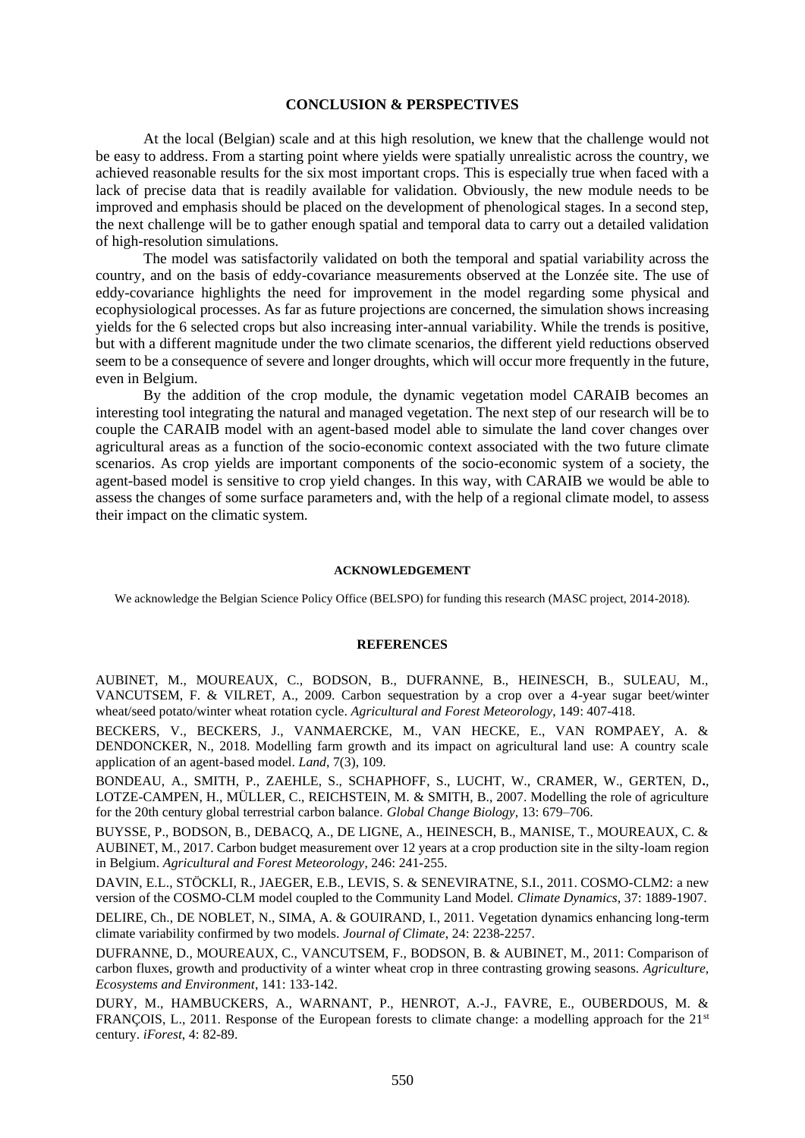## **CONCLUSION & PERSPECTIVES**

At the local (Belgian) scale and at this high resolution, we knew that the challenge would not be easy to address. From a starting point where yields were spatially unrealistic across the country, we achieved reasonable results for the six most important crops. This is especially true when faced with a lack of precise data that is readily available for validation. Obviously, the new module needs to be improved and emphasis should be placed on the development of phenological stages. In a second step, the next challenge will be to gather enough spatial and temporal data to carry out a detailed validation of high-resolution simulations.

The model was satisfactorily validated on both the temporal and spatial variability across the country, and on the basis of eddy-covariance measurements observed at the Lonzée site. The use of eddy-covariance highlights the need for improvement in the model regarding some physical and ecophysiological processes. As far as future projections are concerned, the simulation shows increasing yields for the 6 selected crops but also increasing inter-annual variability. While the trends is positive, but with a different magnitude under the two climate scenarios, the different yield reductions observed seem to be a consequence of severe and longer droughts, which will occur more frequently in the future, even in Belgium.

By the addition of the crop module, the dynamic vegetation model CARAIB becomes an interesting tool integrating the natural and managed vegetation. The next step of our research will be to couple the CARAIB model with an agent-based model able to simulate the land cover changes over agricultural areas as a function of the socio-economic context associated with the two future climate scenarios. As crop yields are important components of the socio-economic system of a society, the agent-based model is sensitive to crop yield changes. In this way, with CARAIB we would be able to assess the changes of some surface parameters and, with the help of a regional climate model, to assess their impact on the climatic system.

#### **ACKNOWLEDGEMENT**

We acknowledge the Belgian Science Policy Office (BELSPO) for funding this research (MASC project, 2014-2018).

#### **REFERENCES**

AUBINET, M., MOUREAUX, C., BODSON, B., DUFRANNE, B., HEINESCH, B., SULEAU, M., VANCUTSEM, F. & VILRET, A., 2009. Carbon sequestration by a crop over a 4-year sugar beet/winter wheat/seed potato/winter wheat rotation cycle. *Agricultural and Forest Meteorology*, 149: 407-418.

BECKERS, V., BECKERS, J., VANMAERCKE, M., VAN HECKE, E., VAN ROMPAEY, A. & DENDONCKER, N., 2018. Modelling farm growth and its impact on agricultural land use: A country scale application of an agent-based model. *Land*, 7(3), 109.

BONDEAU, A., SMITH, P., ZAEHLE, S., SCHAPHOFF, S., LUCHT, W., CRAMER, W., GERTEN, D**.**, LOTZE-CAMPEN, H., MÜLLER, C., REICHSTEIN, M. & SMITH, B., 2007. Modelling the role of agriculture for the 20th century global terrestrial carbon balance. *[Global Change Biology,](http://dx.doi.org/10.1111/j.1365-2486.2006.01305.x)* 13: 679–706.

BUYSSE, P., BODSON, B., DEBACQ, A., DE LIGNE, A., HEINESCH, B., MANISE, T., MOUREAUX, C. & AUBINET, M., 2017. Carbon budget measurement over 12 years at a crop production site in the silty-loam region in Belgium. *Agricultural and Forest Meteorology*, 246: 241-255.

DAVIN, E.L., STÖCKLI, R., JAEGER, E.B., LEVIS, S. & SENEVIRATNE, S.I., 2011. COSMO-CLM2: a new version of the COSMO-CLM model coupled to the Community Land Model. *Climate Dynamics*, 37: 1889-1907.

DELIRE, Ch., DE NOBLET, N., SIMA, A. & GOUIRAND, I., 2011. Vegetation dynamics enhancing long-term climate variability confirmed by two models. *Journal of Climate*, 24: 2238-2257.

DUFRANNE, D., MOUREAUX, C., VANCUTSEM, F., BODSON, B. & AUBINET, M., 2011: Comparison of carbon fluxes, growth and productivity of a winter wheat crop in three contrasting growing seasons. *Agriculture, Ecosystems and Environment*, 141: 133-142.

DURY, M., HAMBUCKERS, A., WARNANT, P., HENROT, A.-J., FAVRE, E., OUBERDOUS, M. & FRANÇOIS, L., 2011. Response of the European forests to climate change: a modelling approach for the 21<sup>st</sup> century. *iForest*, 4: 82-89.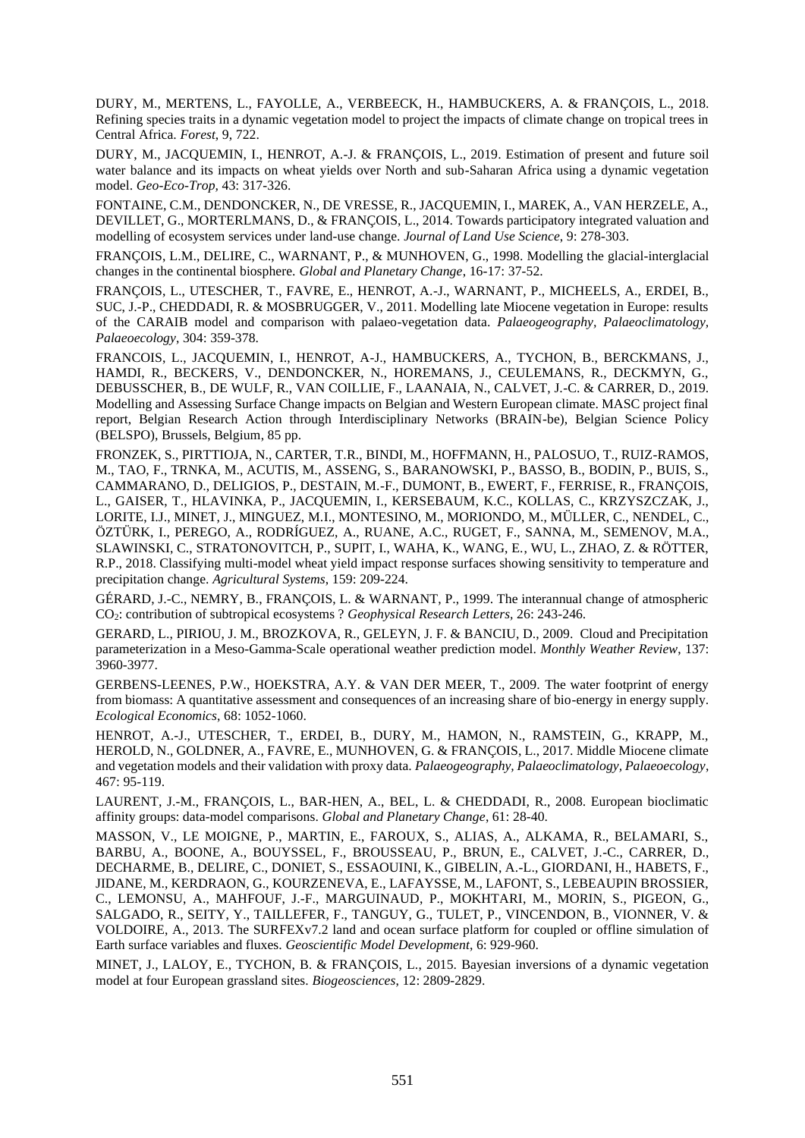DURY, M., MERTENS, L., FAYOLLE, A., VERBEECK, H., HAMBUCKERS, A. & FRANÇOIS, L., 2018. Refining species traits in a dynamic vegetation model to project the impacts of climate change on tropical trees in Central Africa. *Forest*, 9, 722.

DURY, M., JACQUEMIN, I., HENROT, A.-J. & FRANÇOIS, L., 2019. Estimation of present and future soil water balance and its impacts on wheat yields over North and sub-Saharan Africa using a dynamic vegetation model. *Geo-Eco-Trop,* 43: 317-326.

FONTAINE, C.M., DENDONCKER, N., DE VRESSE, R., JACQUEMIN, I., MAREK, A., VAN HERZELE, A., DEVILLET, G., MORTERLMANS, D., & FRANÇOIS, L., 2014. Towards participatory integrated valuation and modelling of ecosystem services under land-use change. *Journal of Land Use Science*, 9: 278-303.

FRANÇOIS, L.M., DELIRE, C., WARNANT, P., & MUNHOVEN, G., 1998. Modelling the glacial-interglacial changes in the continental biosphere. *Global and Planetary Change*, 16-17: 37-52.

FRANÇOIS, L., UTESCHER, T., FAVRE, E., HENROT, A.-J., WARNANT, P., MICHEELS, A., ERDEI, B., SUC, J.-P., CHEDDADI, R. & MOSBRUGGER, V., 2011. Modelling late Miocene vegetation in Europe: results of the CARAIB model and comparison with palaeo-vegetation data. *Palaeogeography, Palaeoclimatology, Palaeoecology*, 304: 359-378.

FRANCOIS, L., JACQUEMIN, I., HENROT, A-J., HAMBUCKERS, A., TYCHON, B., BERCKMANS, J., HAMDI, R., BECKERS, V., DENDONCKER, N., HOREMANS, J., CEULEMANS, R., DECKMYN, G., DEBUSSCHER, B., DE WULF, R., VAN COILLIE, F., LAANAIA, N., CALVET, J.-C. & CARRER, D., 2019. Modelling and Assessing Surface Change impacts on Belgian and Western European climate. MASC project final report, Belgian Research Action through Interdisciplinary Networks (BRAIN-be), Belgian Science Policy (BELSPO), Brussels, Belgium, 85 pp.

FRONZEK, S., PIRTTIOJA, N., CARTER, T.R., BINDI, M., HOFFMANN, H., PALOSUO, T., RUIZ-RAMOS, M., TAO, F., TRNKA, M., ACUTIS, M., ASSENG, S., BARANOWSKI, P., BASSO, B., BODIN, P., BUIS, S., CAMMARANO, D., DELIGIOS, P., DESTAIN, M.-F., DUMONT, B., EWERT, F., FERRISE, R., FRANÇOIS, L., GAISER, T., HLAVINKA, P., JACQUEMIN, I., KERSEBAUM, K.C., KOLLAS, C., KRZYSZCZAK, J., LORITE, I.J., MINET, J., MINGUEZ, M.I., MONTESINO, M., MORIONDO, M., MÜLLER, C., NENDEL, C., ÖZTÜRK, I., PEREGO, A., RODRÍGUEZ, A., RUANE, A.C., RUGET, F., SANNA, M., SEMENOV, M.A., SLAWINSKI, C., STRATONOVITCH, P., SUPIT, I., WAHA, K., WANG, E., WU, L., ZHAO, Z. & RÖTTER, R.P., 2018. Classifying multi-model wheat yield impact response surfaces showing sensitivity to temperature and precipitation change. *Agricultural Systems*, 159: 209-224.

GÉRARD, J.-C., NEMRY, B., FRANÇOIS, L. & WARNANT, P., 1999. The interannual change of atmospheric CO2: contribution of subtropical ecosystems ? *Geophysical Research Letters,* 26: 243-246.

GERARD, L., PIRIOU, J. M., BROZKOVA, R., GELEYN, J. F. & BANCIU, D., 2009. Cloud and Precipitation parameterization in a Meso-Gamma-Scale operational weather prediction model. *Monthly Weather Review*, 137: 3960-3977.

GERBENS-LEENES, P.W., HOEKSTRA, A.Y. & VAN DER MEER, T., 2009. The water footprint of energy from biomass: A quantitative assessment and consequences of an increasing share of bio-energy in energy supply. *Ecological Economics*, 68: 1052-1060.

HENROT, A.-J., UTESCHER, T., ERDEI, B., DURY, M., HAMON, N., RAMSTEIN, G., KRAPP, M., HEROLD, N., GOLDNER, A., FAVRE, E., MUNHOVEN, G. & FRANÇOIS, L., 2017. Middle Miocene climate and vegetation models and their validation with proxy data. *Palaeogeography, Palaeoclimatology, Palaeoecology*, 467: 95-119.

LAURENT, J.-M., FRANÇOIS, L., BAR-HEN, A., BEL, L. & CHEDDADI, R., 2008. European bioclimatic affinity groups: data-model comparisons. *Global and Planetary Change*, 61: 28-40.

MASSON, V., LE MOIGNE, P., MARTIN, E., FAROUX, S., ALIAS, A., ALKAMA, R., BELAMARI, S., BARBU, A., BOONE, A., BOUYSSEL, F., BROUSSEAU, P., BRUN, E., CALVET, J.-C., CARRER, D., DECHARME, B., DELIRE, C., DONIET, S., ESSAOUINI, K., GIBELIN, A.-L., GIORDANI, H., HABETS, F., JIDANE, M., KERDRAON, G., KOURZENEVA, E., LAFAYSSE, M., LAFONT, S., LEBEAUPIN BROSSIER, C., LEMONSU, A., MAHFOUF, J.-F., MARGUINAUD, P., MOKHTARI, M., MORIN, S., PIGEON, G., SALGADO, R., SEITY, Y., TAILLEFER, F., TANGUY, G., TULET, P., VINCENDON, B., VIONNER, V. & VOLDOIRE, A., 2013. The SURFEXv7.2 land and ocean surface platform for coupled or offline simulation of Earth surface variables and fluxes. *Geoscientific Model Development*, 6: 929-960.

MINET, J., LALOY, E., TYCHON, B. & FRANÇOIS, L., 2015. Bayesian inversions of a dynamic vegetation model at four European grassland sites. *Biogeosciences*, 12: 2809-2829.